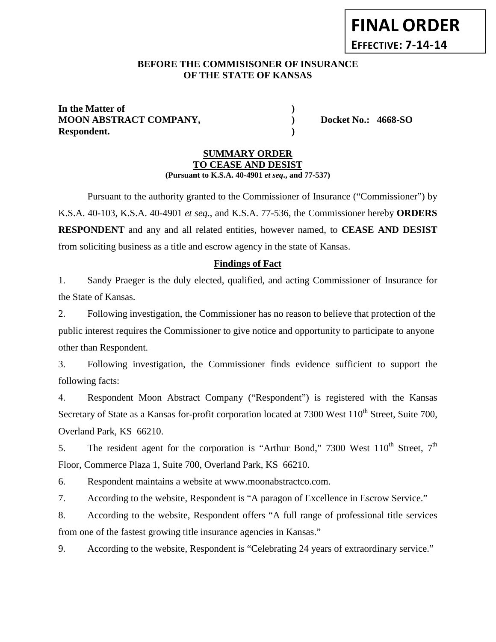# **FINAL ORDER EFFECTIVE: 7-14-14**

## **BEFORE THE COMMISISONER OF INSURANCE OF THE STATE OF KANSAS**

**In the Matter of ) MOON ABSTRACT COMPANY, ) Docket No.: 4668-SO Respondent. )**

### **SUMMARY ORDER TO CEASE AND DESIST (Pursuant to K.S.A. 40-4901** *et seq***., and 77-537)**

Pursuant to the authority granted to the Commissioner of Insurance ("Commissioner") by K.S.A. 40-103, K.S.A. 40-4901 *et seq*., and K.S.A. 77-536, the Commissioner hereby **ORDERS RESPONDENT** and any and all related entities, however named, to **CEASE AND DESIST** from soliciting business as a title and escrow agency in the state of Kansas.

# **Findings of Fact**

1. Sandy Praeger is the duly elected, qualified, and acting Commissioner of Insurance for the State of Kansas.

2. Following investigation, the Commissioner has no reason to believe that protection of the public interest requires the Commissioner to give notice and opportunity to participate to anyone other than Respondent.

3. Following investigation, the Commissioner finds evidence sufficient to support the following facts:

4. Respondent Moon Abstract Company ("Respondent") is registered with the Kansas Secretary of State as a Kansas for-profit corporation located at 7300 West 110<sup>th</sup> Street, Suite 700, Overland Park, KS 66210.

5. The resident agent for the corporation is "Arthur Bond," 7300 West  $110^{th}$  Street,  $7^{th}$ Floor, Commerce Plaza 1, Suite 700, Overland Park, KS 66210.

6. Respondent maintains a website at www.moonabstractco.com.

7. According to the website, Respondent is "A paragon of Excellence in Escrow Service."

8. According to the website, Respondent offers "A full range of professional title services from one of the fastest growing title insurance agencies in Kansas."

9. According to the website, Respondent is "Celebrating 24 years of extraordinary service."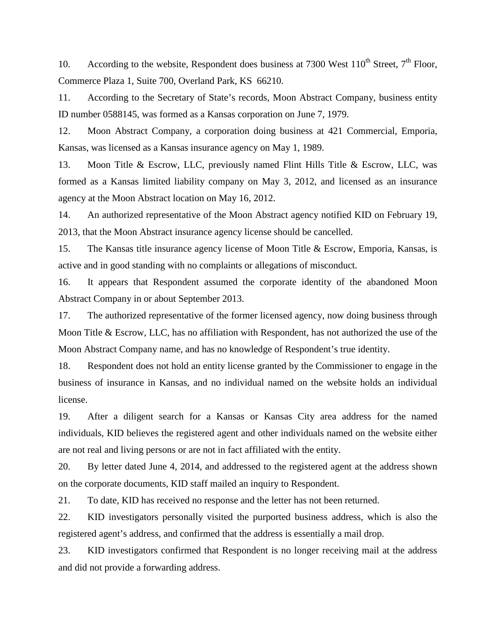10. According to the website, Respondent does business at 7300 West  $110^{th}$  Street,  $7^{th}$  Floor, Commerce Plaza 1, Suite 700, Overland Park, KS 66210.

11. According to the Secretary of State's records, Moon Abstract Company, business entity ID number 0588145, was formed as a Kansas corporation on June 7, 1979.

12. Moon Abstract Company, a corporation doing business at 421 Commercial, Emporia, Kansas, was licensed as a Kansas insurance agency on May 1, 1989.

13. Moon Title & Escrow, LLC, previously named Flint Hills Title & Escrow, LLC, was formed as a Kansas limited liability company on May 3, 2012, and licensed as an insurance agency at the Moon Abstract location on May 16, 2012.

14. An authorized representative of the Moon Abstract agency notified KID on February 19, 2013, that the Moon Abstract insurance agency license should be cancelled.

15. The Kansas title insurance agency license of Moon Title & Escrow, Emporia, Kansas, is active and in good standing with no complaints or allegations of misconduct.

16. It appears that Respondent assumed the corporate identity of the abandoned Moon Abstract Company in or about September 2013.

17. The authorized representative of the former licensed agency, now doing business through Moon Title & Escrow, LLC, has no affiliation with Respondent, has not authorized the use of the Moon Abstract Company name, and has no knowledge of Respondent's true identity.

18. Respondent does not hold an entity license granted by the Commissioner to engage in the business of insurance in Kansas, and no individual named on the website holds an individual license.

19. After a diligent search for a Kansas or Kansas City area address for the named individuals, KID believes the registered agent and other individuals named on the website either are not real and living persons or are not in fact affiliated with the entity.

20. By letter dated June 4, 2014, and addressed to the registered agent at the address shown on the corporate documents, KID staff mailed an inquiry to Respondent.

21. To date, KID has received no response and the letter has not been returned.

22. KID investigators personally visited the purported business address, which is also the registered agent's address, and confirmed that the address is essentially a mail drop.

23. KID investigators confirmed that Respondent is no longer receiving mail at the address and did not provide a forwarding address.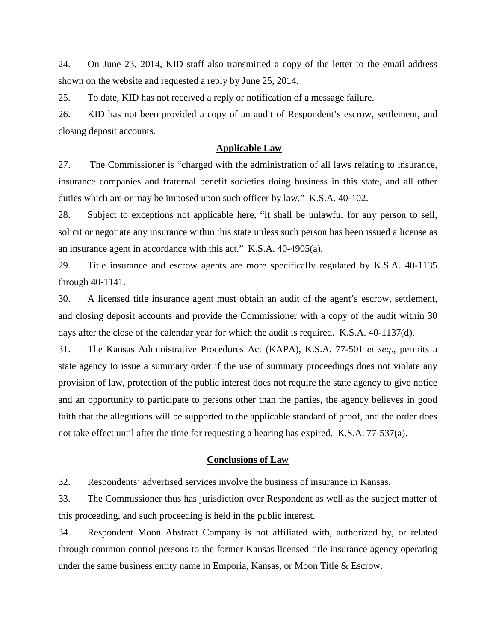24. On June 23, 2014, KID staff also transmitted a copy of the letter to the email address shown on the website and requested a reply by June 25, 2014.

25. To date, KID has not received a reply or notification of a message failure.

26. KID has not been provided a copy of an audit of Respondent's escrow, settlement, and closing deposit accounts.

#### **Applicable Law**

27. The Commissioner is "charged with the administration of all laws relating to insurance, insurance companies and fraternal benefit societies doing business in this state, and all other duties which are or may be imposed upon such officer by law." K.S.A. 40-102.

28. Subject to exceptions not applicable here, "it shall be unlawful for any person to sell, solicit or negotiate any insurance within this state unless such person has been issued a license as an insurance agent in accordance with this act." K.S.A. 40-4905(a).

29. Title insurance and escrow agents are more specifically regulated by K.S.A. 40-1135 through 40-1141.

30. A licensed title insurance agent must obtain an audit of the agent's escrow, settlement, and closing deposit accounts and provide the Commissioner with a copy of the audit within 30 days after the close of the calendar year for which the audit is required. K.S.A. 40-1137(d).

31. The Kansas Administrative Procedures Act (KAPA), K.S.A. 77-501 *et seq*., permits a state agency to issue a summary order if the use of summary proceedings does not violate any provision of law, protection of the public interest does not require the state agency to give notice and an opportunity to participate to persons other than the parties, the agency believes in good faith that the allegations will be supported to the applicable standard of proof, and the order does not take effect until after the time for requesting a hearing has expired. K.S.A. 77-537(a).

#### **Conclusions of Law**

32. Respondents' advertised services involve the business of insurance in Kansas.

33. The Commissioner thus has jurisdiction over Respondent as well as the subject matter of this proceeding, and such proceeding is held in the public interest.

34. Respondent Moon Abstract Company is not affiliated with, authorized by, or related through common control persons to the former Kansas licensed title insurance agency operating under the same business entity name in Emporia, Kansas, or Moon Title & Escrow.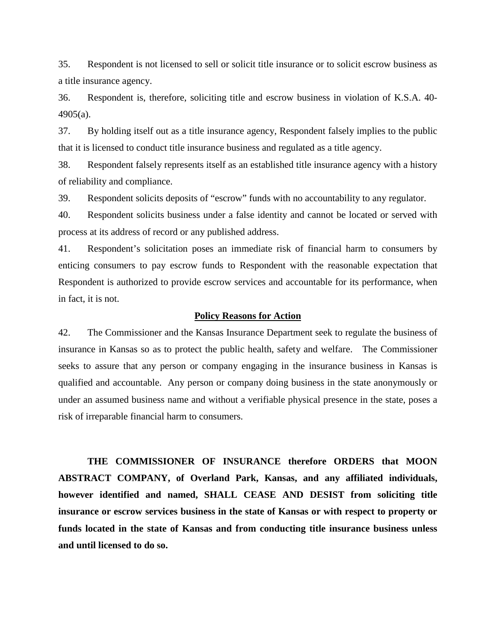35. Respondent is not licensed to sell or solicit title insurance or to solicit escrow business as a title insurance agency.

36. Respondent is, therefore, soliciting title and escrow business in violation of K.S.A. 40- 4905(a).

37. By holding itself out as a title insurance agency, Respondent falsely implies to the public that it is licensed to conduct title insurance business and regulated as a title agency.

38. Respondent falsely represents itself as an established title insurance agency with a history of reliability and compliance.

39. Respondent solicits deposits of "escrow" funds with no accountability to any regulator.

40. Respondent solicits business under a false identity and cannot be located or served with process at its address of record or any published address.

41. Respondent's solicitation poses an immediate risk of financial harm to consumers by enticing consumers to pay escrow funds to Respondent with the reasonable expectation that Respondent is authorized to provide escrow services and accountable for its performance, when in fact, it is not.

#### **Policy Reasons for Action**

42. The Commissioner and the Kansas Insurance Department seek to regulate the business of insurance in Kansas so as to protect the public health, safety and welfare. The Commissioner seeks to assure that any person or company engaging in the insurance business in Kansas is qualified and accountable. Any person or company doing business in the state anonymously or under an assumed business name and without a verifiable physical presence in the state, poses a risk of irreparable financial harm to consumers.

**THE COMMISSIONER OF INSURANCE therefore ORDERS that MOON ABSTRACT COMPANY, of Overland Park, Kansas, and any affiliated individuals, however identified and named, SHALL CEASE AND DESIST from soliciting title insurance or escrow services business in the state of Kansas or with respect to property or funds located in the state of Kansas and from conducting title insurance business unless and until licensed to do so.**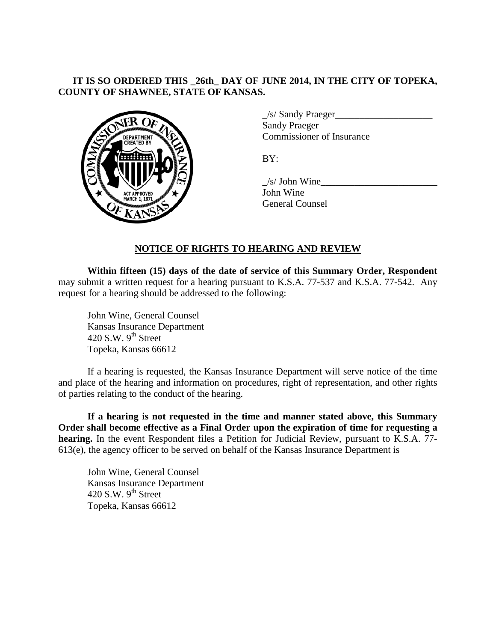# **IT IS SO ORDERED THIS \_26th\_ DAY OF JUNE 2014, IN THE CITY OF TOPEKA, COUNTY OF SHAWNEE, STATE OF KANSAS.**



 $\angle$ s/ Sandy Praeger $\angle$ Sandy Praeger Commissioner of Insurance

BY:

 $\angle$ s/ John Wine John Wine General Counsel

## **NOTICE OF RIGHTS TO HEARING AND REVIEW**

**Within fifteen (15) days of the date of service of this Summary Order, Respondent** may submit a written request for a hearing pursuant to K.S.A. 77-537 and K.S.A. 77-542. Any request for a hearing should be addressed to the following:

John Wine, General Counsel Kansas Insurance Department 420 S.W.  $9<sup>th</sup>$  Street Topeka, Kansas 66612

If a hearing is requested, the Kansas Insurance Department will serve notice of the time and place of the hearing and information on procedures, right of representation, and other rights of parties relating to the conduct of the hearing.

**If a hearing is not requested in the time and manner stated above, this Summary Order shall become effective as a Final Order upon the expiration of time for requesting a hearing.** In the event Respondent files a Petition for Judicial Review, pursuant to K.S.A. 77- 613(e), the agency officer to be served on behalf of the Kansas Insurance Department is

John Wine, General Counsel Kansas Insurance Department 420 S.W.  $9<sup>th</sup>$  Street Topeka, Kansas 66612